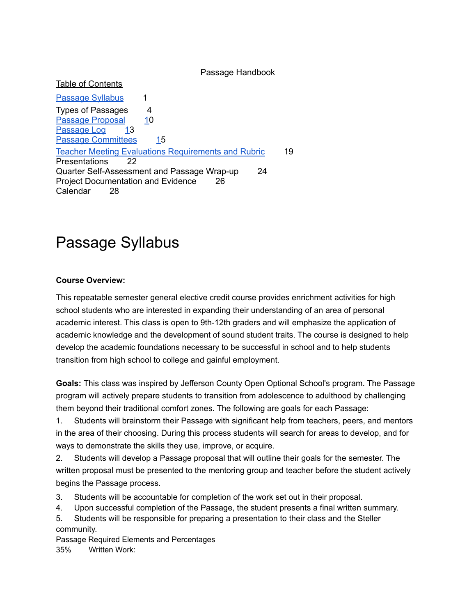Passage Handbook

Table of Contents

[Passage](https://docs.google.com/document/d/e/2PACX-1vRCU2Xc28_3blsonnG5-bQUFFM6Jup_AAUbVNWLj2Q4yaYXRV-G350qiGh2nCKBqRqpWtqwuyjsKrct/pub?embedded=true#h.zdolqqr0c5rc) Syllabus 1 Types of Passages 4 Passage [Proposal](https://docs.google.com/document/d/e/2PACX-1vRCU2Xc28_3blsonnG5-bQUFFM6Jup_AAUbVNWLj2Q4yaYXRV-G350qiGh2nCKBqRqpWtqwuyjsKrct/pub?embedded=true#h.lrvonbirrxso) [10](https://docs.google.com/document/d/e/2PACX-1vRCU2Xc28_3blsonnG5-bQUFFM6Jup_AAUbVNWLj2Q4yaYXRV-G350qiGh2nCKBqRqpWtqwuyjsKrct/pub?embedded=true#h.lrvonbirrxso) [Passage](https://docs.google.com/document/d/e/2PACX-1vRCU2Xc28_3blsonnG5-bQUFFM6Jup_AAUbVNWLj2Q4yaYXRV-G350qiGh2nCKBqRqpWtqwuyjsKrct/pub?embedded=true#h.r634i28gkbx6) Log [13](https://docs.google.com/document/d/e/2PACX-1vRCU2Xc28_3blsonnG5-bQUFFM6Jup_AAUbVNWLj2Q4yaYXRV-G350qiGh2nCKBqRqpWtqwuyjsKrct/pub?embedded=true#h.r634i28gkbx6) Passage [Committees](https://docs.google.com/document/d/e/2PACX-1vRCU2Xc28_3blsonnG5-bQUFFM6Jup_AAUbVNWLj2Q4yaYXRV-G350qiGh2nCKBqRqpWtqwuyjsKrct/pub?embedded=true#h.hr7dgocswa3z) [1](https://docs.google.com/document/d/e/2PACX-1vRCU2Xc28_3blsonnG5-bQUFFM6Jup_AAUbVNWLj2Q4yaYXRV-G350qiGh2nCKBqRqpWtqwuyjsKrct/pub?embedded=true#h.hr7dgocswa3z)5 Teacher Meeting Evaluations [Requirements](https://docs.google.com/document/d/e/2PACX-1vRCU2Xc28_3blsonnG5-bQUFFM6Jup_AAUbVNWLj2Q4yaYXRV-G350qiGh2nCKBqRqpWtqwuyjsKrct/pub?embedded=true#h.svu7swxpmiqg) and Rubric 19 Presentations 22 Quarter Self-Assessment and Passage Wrap-up 24 Project Documentation and Evidence 26 Calendar 28

# Passage Syllabus

### **Course Overview:**

This repeatable semester general elective credit course provides enrichment activities for high school students who are interested in expanding their understanding of an area of personal academic interest. This class is open to 9th-12th graders and will emphasize the application of academic knowledge and the development of sound student traits. The course is designed to help develop the academic foundations necessary to be successful in school and to help students transition from high school to college and gainful employment.

**Goals:** This class was inspired by Jefferson County Open Optional School's program. The Passage program will actively prepare students to transition from adolescence to adulthood by challenging them beyond their traditional comfort zones. The following are goals for each Passage:

1. Students will brainstorm their Passage with significant help from teachers, peers, and mentors in the area of their choosing. During this process students will search for areas to develop, and for ways to demonstrate the skills they use, improve, or acquire.

2. Students will develop a Passage proposal that will outline their goals for the semester. The written proposal must be presented to the mentoring group and teacher before the student actively begins the Passage process.

- 3. Students will be accountable for completion of the work set out in their proposal.
- 4. Upon successful completion of the Passage, the student presents a final written summary.
- 5. Students will be responsible for preparing a presentation to their class and the Steller community.

Passage Required Elements and Percentages 35% Written Work: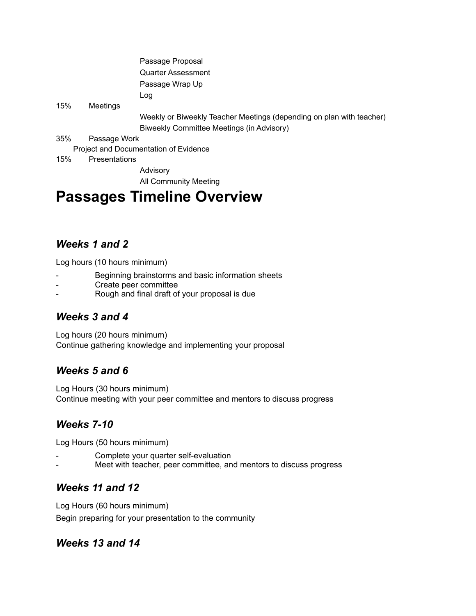|     |               | Passage Proposal                                                     |
|-----|---------------|----------------------------------------------------------------------|
|     |               | Quarter Assessment                                                   |
|     |               | Passage Wrap Up                                                      |
|     |               | Log                                                                  |
| 15% | Meetings      |                                                                      |
|     |               | Weekly or Biweekly Teacher Meetings (depending on plan with teacher) |
|     |               | Biweekly Committee Meetings (in Advisory)                            |
| 35% | Passage Work  |                                                                      |
|     |               | Project and Documentation of Evidence                                |
| 15% | Presentations |                                                                      |
|     |               | Advisory                                                             |
|     |               | <b>All Community Meeting</b>                                         |
|     |               | <b>Passages Timeline Overview</b>                                    |

## *Weeks 1 and 2*

Log hours (10 hours minimum)

- Beginning brainstorms and basic information sheets
- Create peer committee
- Rough and final draft of your proposal is due

### *Weeks 3 and 4*

Log hours (20 hours minimum) Continue gathering knowledge and implementing your proposal

## *Weeks 5 and 6*

Log Hours (30 hours minimum) Continue meeting with your peer committee and mentors to discuss progress

## *Weeks 7-10*

Log Hours (50 hours minimum)

- Complete your quarter self-evaluation
- Meet with teacher, peer committee, and mentors to discuss progress

### *Weeks 11 and 12*

Log Hours (60 hours minimum) Begin preparing for your presentation to the community

### *Weeks 13 and 14*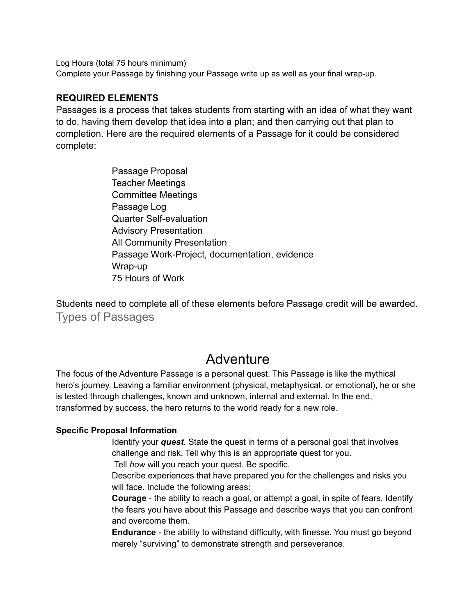Log Hours (total 75 hours minimum)

Complete your Passage by finishing your Passage write up as well as your final wrap-up.

### **REQUIRED ELEMENTS**

Passages is a process that takes students from starting with an idea of what they want to do, having them develop that idea into a plan; and then carrying out that plan to completion. Here are the required elements of a Passage for it could be considered complete:

> Passage Proposal Teacher Meetings Committee Meetings Passage Log Quarter Self-evaluation Advisory Presentation All Community Presentation Passage Work-Project, documentation, evidence Wrap-up 75 Hours of Work

Students need to complete all of these elements before Passage credit will be awarded. Types of Passages

## Adventure

The focus of the Adventure Passage is a personal quest. This Passage is like the mythical hero's journey. Leaving a familiar environment (physical, metaphysical, or emotional), he or she is tested through challenges, known and unknown, internal and external. In the end, transformed by success, the hero returns to the world ready for a new role.

### **Specific Proposal Information**

Identify your *quest*. State the quest in terms of a personal goal that involves challenge and risk. Tell why this is an appropriate quest for you.

Tell *how* will you reach your quest. Be specific.

Describe experiences that have prepared you for the challenges and risks you will face. Include the following areas:

**Courage** - the ability to reach a goal, or attempt a goal, in spite of fears. Identify the fears you have about this Passage and describe ways that you can confront and overcome them.

**Endurance** - the ability to withstand difficulty, with finesse. You must go beyond merely "surviving" to demonstrate strength and perseverance.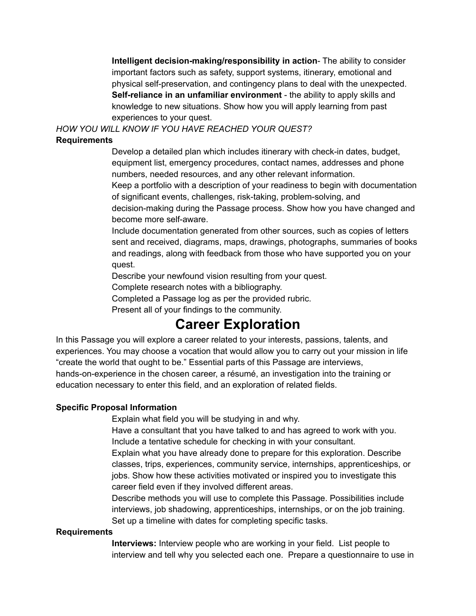**Intelligent decision-making/responsibility in action**- The ability to consider important factors such as safety, support systems, itinerary, emotional and physical self-preservation, and contingency plans to deal with the unexpected. **Self-reliance in an unfamiliar environment** - the ability to apply skills and knowledge to new situations. Show how you will apply learning from past experiences to your quest.

*HOW YOU WILL KNOW IF YOU HAVE REACHED YOUR QUEST?*

### **Requirements**

Develop a detailed plan which includes itinerary with check-in dates, budget, equipment list, emergency procedures, contact names, addresses and phone numbers, needed resources, and any other relevant information.

Keep a portfolio with a description of your readiness to begin with documentation of significant events, challenges, risk-taking, problem-solving, and decision-making during the Passage process. Show how you have changed and become more self-aware.

Include documentation generated from other sources, such as copies of letters sent and received, diagrams, maps, drawings, photographs, summaries of books and readings, along with feedback from those who have supported you on your quest.

Describe your newfound vision resulting from your quest.

Complete research notes with a bibliography.

Completed a Passage log as per the provided rubric.

Present all of your findings to the community.

## **Career Exploration**

In this Passage you will explore a career related to your interests, passions, talents, and experiences. You may choose a vocation that would allow you to carry out your mission in life "create the world that ought to be." Essential parts of this Passage are interviews,

hands-on-experience in the chosen career, a résumé, an investigation into the training or education necessary to enter this field, and an exploration of related fields.

### **Specific Proposal Information**

Explain what field you will be studying in and why.

Have a consultant that you have talked to and has agreed to work with you. Include a tentative schedule for checking in with your consultant.

Explain what you have already done to prepare for this exploration. Describe classes, trips, experiences, community service, internships, apprenticeships, or jobs. Show how these activities motivated or inspired you to investigate this career field even if they involved different areas.

Describe methods you will use to complete this Passage. Possibilities include interviews, job shadowing, apprenticeships, internships, or on the job training. Set up a timeline with dates for completing specific tasks.

#### **Requirements**

**Interviews:** Interview people who are working in your field. List people to interview and tell why you selected each one. Prepare a questionnaire to use in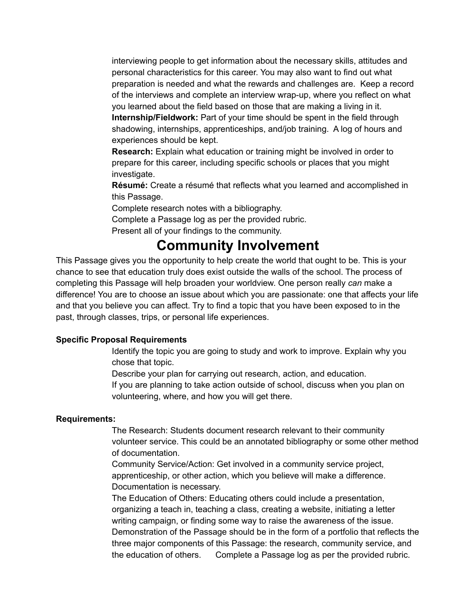interviewing people to get information about the necessary skills, attitudes and personal characteristics for this career. You may also want to find out what preparation is needed and what the rewards and challenges are. Keep a record of the interviews and complete an interview wrap-up, where you reflect on what you learned about the field based on those that are making a living in it. **Internship/Fieldwork:** Part of your time should be spent in the field through shadowing, internships, apprenticeships, and/job training. A log of hours and experiences should be kept.

**Research:** Explain what education or training might be involved in order to prepare for this career, including specific schools or places that you might investigate.

**Résumé:** Create a résumé that reflects what you learned and accomplished in this Passage.

Complete research notes with a bibliography.

Complete a Passage log as per the provided rubric.

Present all of your findings to the community.

## **Community Involvement**

This Passage gives you the opportunity to help create the world that ought to be. This is your chance to see that education truly does exist outside the walls of the school. The process of completing this Passage will help broaden your worldview. One person really *can* make a difference! You are to choose an issue about which you are passionate: one that affects your life and that you believe you can affect. Try to find a topic that you have been exposed to in the past, through classes, trips, or personal life experiences.

### **Specific Proposal Requirements**

Identify the topic you are going to study and work to improve. Explain why you chose that topic.

Describe your plan for carrying out research, action, and education.

If you are planning to take action outside of school, discuss when you plan on volunteering, where, and how you will get there.

#### **Requirements:**

The Research: Students document research relevant to their community volunteer service. This could be an annotated bibliography or some other method of documentation.

Community Service/Action: Get involved in a community service project, apprenticeship, or other action, which you believe will make a difference. Documentation is necessary.

The Education of Others: Educating others could include a presentation, organizing a teach in, teaching a class, creating a website, initiating a letter writing campaign, or finding some way to raise the awareness of the issue. Demonstration of the Passage should be in the form of a portfolio that reflects the three major components of this Passage: the research, community service, and the education of others. Complete a Passage log as per the provided rubric.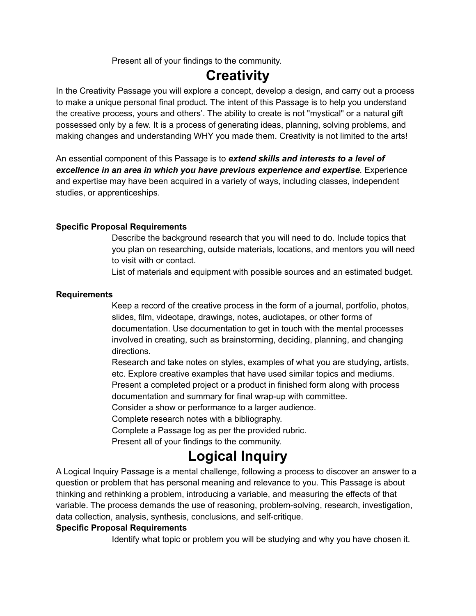Present all of your findings to the community.

## **Creativity**

In the Creativity Passage you will explore a concept, develop a design, and carry out a process to make a unique personal final product. The intent of this Passage is to help you understand the creative process, yours and others'. The ability to create is not "mystical" or a natural gift possessed only by a few. It is a process of generating ideas, planning, solving problems, and making changes and understanding WHY you made them. Creativity is not limited to the arts!

An essential component of this Passage is to *extend skills and interests to a level of excellence in an area in which you have previous experience and expertise.* Experience and expertise may have been acquired in a variety of ways, including classes, independent studies, or apprenticeships.

### **Specific Proposal Requirements**

Describe the background research that you will need to do. Include topics that you plan on researching, outside materials, locations, and mentors you will need to visit with or contact.

List of materials and equipment with possible sources and an estimated budget.

### **Requirements**

Keep a record of the creative process in the form of a journal, portfolio, photos, slides, film, videotape, drawings, notes, audiotapes, or other forms of documentation. Use documentation to get in touch with the mental processes involved in creating, such as brainstorming, deciding, planning, and changing directions.

Research and take notes on styles, examples of what you are studying, artists, etc. Explore creative examples that have used similar topics and mediums. Present a completed project or a product in finished form along with process

documentation and summary for final wrap-up with committee.

Consider a show or performance to a larger audience.

Complete research notes with a bibliography.

Complete a Passage log as per the provided rubric.

Present all of your findings to the community.

## **Logical Inquiry**

A Logical Inquiry Passage is a mental challenge, following a process to discover an answer to a question or problem that has personal meaning and relevance to you. This Passage is about thinking and rethinking a problem, introducing a variable, and measuring the effects of that variable. The process demands the use of reasoning, problem-solving, research, investigation, data collection, analysis, synthesis, conclusions, and self-critique.

### **Specific Proposal Requirements**

Identify what topic or problem you will be studying and why you have chosen it.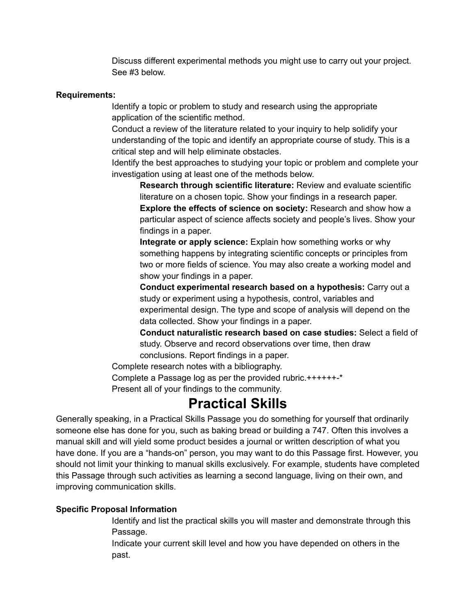Discuss different experimental methods you might use to carry out your project. See #3 below.

#### **Requirements:**

Identify a topic or problem to study and research using the appropriate application of the scientific method.

Conduct a review of the literature related to your inquiry to help solidify your understanding of the topic and identify an appropriate course of study. This is a critical step and will help eliminate obstacles.

Identify the best approaches to studying your topic or problem and complete your investigation using at least one of the methods below.

**Research through scientific literature:** Review and evaluate scientific literature on a chosen topic. Show your findings in a research paper. **Explore the effects of science on society:** Research and show how a particular aspect of science affects society and people's lives. Show your findings in a paper.

**Integrate or apply science:** Explain how something works or why something happens by integrating scientific concepts or principles from two or more fields of science. You may also create a working model and show your findings in a paper.

**Conduct experimental research based on a hypothesis:** Carry out a study or experiment using a hypothesis, control, variables and experimental design. The type and scope of analysis will depend on the data collected. Show your findings in a paper.

**Conduct naturalistic research based on case studies:** Select a field of study. Observe and record observations over time, then draw conclusions. Report findings in a paper.

Complete research notes with a bibliography.

Complete a Passage log as per the provided rubric.++++++-\* Present all of your findings to the community.

## **Practical Skills**

Generally speaking, in a Practical Skills Passage you do something for yourself that ordinarily someone else has done for you, such as baking bread or building a 747. Often this involves a manual skill and will yield some product besides a journal or written description of what you have done. If you are a "hands-on" person, you may want to do this Passage first. However, you should not limit your thinking to manual skills exclusively. For example, students have completed this Passage through such activities as learning a second language, living on their own, and improving communication skills.

### **Specific Proposal Information**

Identify and list the practical skills you will master and demonstrate through this Passage.

Indicate your current skill level and how you have depended on others in the past.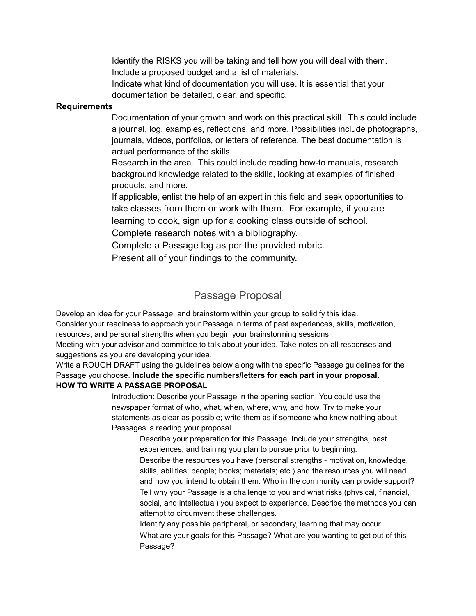Identify the RISKS you will be taking and tell how you will deal with them. Include a proposed budget and a list of materials.

Indicate what kind of documentation you will use. It is essential that your documentation be detailed, clear, and specific.

### **Requirements**

Documentation of your growth and work on this practical skill. This could include a journal, log, examples, reflections, and more. Possibilities include photographs, journals, videos, portfolios, or letters of reference. The best documentation is actual performance of the skills.

Research in the area. This could include reading how-to manuals, research background knowledge related to the skills, looking at examples of finished products, and more.

If applicable, enlist the help of an expert in this field and seek opportunities to take classes from them or work with them. For example, if you are learning to cook, sign up for a cooking class outside of school. Complete research notes with a bibliography.

Complete a Passage log as per the provided rubric.

Present all of your findings to the community.

## Passage Proposal

Develop an idea for your Passage, and brainstorm within your group to solidify this idea. Consider your readiness to approach your Passage in terms of past experiences, skills, motivation, resources, and personal strengths when you begin your brainstorming sessions.

Meeting with your advisor and committee to talk about your idea. Take notes on all responses and suggestions as you are developing your idea.

Write a ROUGH DRAFT using the guidelines below along with the specific Passage guidelines for the Passage you choose. **Include the specific numbers/letters for each part in your proposal. HOW TO WRITE A PASSAGE PROPOSAL**

> Introduction: Describe your Passage in the opening section. You could use the newspaper format of who, what, when, where, why, and how. Try to make your statements as clear as possible; write them as if someone who knew nothing about Passages is reading your proposal.

Describe your preparation for this Passage. Include your strengths, past experiences, and training you plan to pursue prior to beginning. Describe the resources you have (personal strengths - motivation, knowledge, skills, abilities; people; books; materials; etc.) and the resources you will need and how you intend to obtain them. Who in the community can provide support? Tell why your Passage is a challenge to you and what risks (physical, financial, social, and intellectual) you expect to experience. Describe the methods you can attempt to circumvent these challenges.

Identify any possible peripheral, or secondary, learning that may occur. What are your goals for this Passage? What are you wanting to get out of this Passage?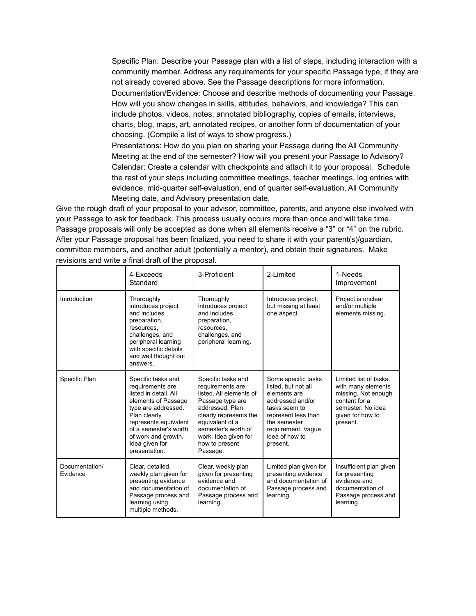Specific Plan: Describe your Passage plan with a list of steps, including interaction with a community member. Address any requirements for your specific Passage type, if they are not already covered above. See the Passage descriptions for more information. Documentation/Evidence: Choose and describe methods of documenting your Passage. How will you show changes in skills, attitudes, behaviors, and knowledge? This can include photos, videos, notes, annotated bibliography, copies of emails, interviews, charts, blog, maps, art, annotated recipes, or another form of documentation of your choosing. (Compile a list of ways to show progress.)

Presentations: How do you plan on sharing your Passage during the All Community Meeting at the end of the semester? How will you present your Passage to Advisory? Calendar: Create a calendar with checkpoints and attach it to your proposal. Schedule the rest of your steps including committee meetings, teacher meetings, log entries with evidence, mid-quarter self-evaluation, end of quarter self-evaluation, All Community Meeting date, and Advisory presentation date.

Give the rough draft of your proposal to your advisor, committee, parents, and anyone else involved with your Passage to ask for feedback. This process usually occurs more than once and will take time. Passage proposals will only be accepted as done when all elements receive a "3" or "4" on the rubric. After your Passage proposal has been finalized, you need to share it with your parent(s)/guardian, committee members, and another adult (potentially a mentor), and obtain their signatures. Make revisions and write a final draft of the proposal.

|                            | 4-Exceeds<br>Standard                                                                                                                                                                                                                     | 3-Proficient                                                                                                                                                                                                                       | 2-Limited                                                                                                                                                                                  | 1-Needs<br>Improvement                                                                                                                    |
|----------------------------|-------------------------------------------------------------------------------------------------------------------------------------------------------------------------------------------------------------------------------------------|------------------------------------------------------------------------------------------------------------------------------------------------------------------------------------------------------------------------------------|--------------------------------------------------------------------------------------------------------------------------------------------------------------------------------------------|-------------------------------------------------------------------------------------------------------------------------------------------|
| Introduction               | Thoroughly<br>introduces project<br>and includes<br>preparation,<br>resources,<br>challenges, and<br>peripheral learning<br>with specific details<br>and well thought out<br>answers.                                                     | Thoroughly<br>introduces project<br>and includes<br>preparation,<br>resources,<br>challenges, and<br>peripheral learning.                                                                                                          | Introduces project.<br>but missing at least<br>one aspect.                                                                                                                                 | Project is unclear<br>and/or multiple<br>elements missing.                                                                                |
| Specific Plan              | Specific tasks and<br>requirements are<br>listed in detail. All<br>elements of Passage<br>type are addressed.<br>Plan clearly<br>represents equivalent<br>of a semester's worth<br>of work and growth.<br>Idea given for<br>presentation. | Specific tasks and<br>requirements are<br>listed. All elements of<br>Passage type are<br>addressed. Plan<br>clearly represents the<br>equivalent of a<br>semester's worth of<br>work. Idea given for<br>how to present<br>Passage. | Some specific tasks<br>listed, but not all<br>elements are<br>addressed and/or<br>tasks seem to<br>represent less than<br>the semester<br>requirement. Vaque<br>idea of how to<br>present. | Limited list of tasks,<br>with many elements<br>missing. Not enough<br>content for a<br>semester. No idea<br>given for how to<br>present. |
| Documentation/<br>Evidence | Clear, detailed.<br>weekly plan given for<br>presenting evidence<br>and documentation of<br>Passage process and<br>learning using<br>multiple methods.                                                                                    | Clear, weekly plan<br>given for presenting<br>evidence and<br>documentation of<br>Passage process and<br>learning.                                                                                                                 | Limited plan given for<br>presenting evidence<br>and documentation of<br>Passage process and<br>learning.                                                                                  | Insufficient plan given<br>for presenting<br>evidence and<br>documentation of<br>Passage process and<br>learning.                         |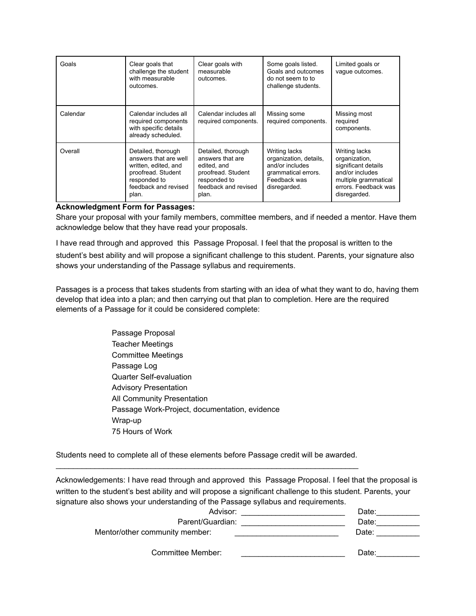| Goals    | Clear goals that<br>challenge the student<br>with measurable<br>outcomes.                                                                  | Clear goals with<br>measurable<br>outcomes.                                                                                  | Some goals listed.<br>Goals and outcomes<br>do not seem to to<br>challenge students.                              | Limited goals or<br>vaque outcomes.                                                                                                      |
|----------|--------------------------------------------------------------------------------------------------------------------------------------------|------------------------------------------------------------------------------------------------------------------------------|-------------------------------------------------------------------------------------------------------------------|------------------------------------------------------------------------------------------------------------------------------------------|
| Calendar | Calendar includes all<br>required components<br>with specific details<br>already scheduled.                                                | Calendar includes all<br>required components.                                                                                | Missing some<br>required components.                                                                              | Missing most<br>required<br>components.                                                                                                  |
| Overall  | Detailed, thorough<br>answers that are well<br>written, edited, and<br>proofread. Student<br>responded to<br>feedback and revised<br>plan. | Detailed, thorough<br>answers that are<br>edited, and<br>proofread. Student<br>responded to<br>feedback and revised<br>plan. | Writing lacks<br>organization, details,<br>and/or includes<br>grammatical errors.<br>Feedback was<br>disregarded. | Writing lacks<br>organization,<br>significant details<br>and/or includes<br>multiple grammatical<br>errors. Feedback was<br>disregarded. |

#### **Acknowledgment Form for Passages:**

Share your proposal with your family members, committee members, and if needed a mentor. Have them acknowledge below that they have read your proposals.

I have read through and approved this Passage Proposal. I feel that the proposal is written to the student's best ability and will propose a significant challenge to this student. Parents, your signature also shows your understanding of the Passage syllabus and requirements.

Passages is a process that takes students from starting with an idea of what they want to do, having them develop that idea into a plan; and then carrying out that plan to completion. Here are the required elements of a Passage for it could be considered complete:

> Passage Proposal Teacher Meetings Committee Meetings Passage Log Quarter Self-evaluation Advisory Presentation All Community Presentation Passage Work-Project, documentation, evidence Wrap-up 75 Hours of Work

Students need to complete all of these elements before Passage credit will be awarded.  $\_$  ,  $\_$  ,  $\_$  ,  $\_$  ,  $\_$  ,  $\_$  ,  $\_$  ,  $\_$  ,  $\_$  ,  $\_$  ,  $\_$  ,  $\_$  ,  $\_$  ,  $\_$  ,  $\_$  ,  $\_$  ,  $\_$  ,  $\_$  ,  $\_$  ,  $\_$ 

Acknowledgements: I have read through and approved this Passage Proposal. I feel that the proposal is written to the student's best ability and will propose a significant challenge to this student. Parents, your signature also shows your understanding of the Passage syllabus and requirements.

| Date:                     |
|---------------------------|
| Parent/Guardian:<br>Date: |
| Date:                     |
|                           |
| Date:                     |
|                           |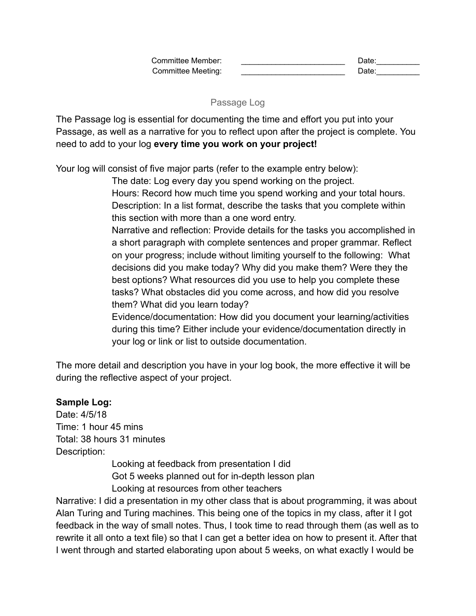Passage Log

The Passage log is essential for documenting the time and effort you put into your Passage, as well as a narrative for you to reflect upon after the project is complete. You need to add to your log **every time you work on your project!**

Your log will consist of five major parts (refer to the example entry below):

The date: Log every day you spend working on the project.

Hours: Record how much time you spend working and your total hours. Description: In a list format, describe the tasks that you complete within this section with more than a one word entry.

Narrative and reflection: Provide details for the tasks you accomplished in a short paragraph with complete sentences and proper grammar. Reflect on your progress; include without limiting yourself to the following: What decisions did you make today? Why did you make them? Were they the best options? What resources did you use to help you complete these tasks? What obstacles did you come across, and how did you resolve them? What did you learn today?

Evidence/documentation: How did you document your learning/activities during this time? Either include your evidence/documentation directly in your log or link or list to outside documentation.

The more detail and description you have in your log book, the more effective it will be during the reflective aspect of your project.

## **Sample Log:**

Date: 4/5/18 Time: 1 hour 45 mins Total: 38 hours 31 minutes Description:

Looking at feedback from presentation I did Got 5 weeks planned out for in-depth lesson plan Looking at resources from other teachers

Narrative: I did a presentation in my other class that is about programming, it was about Alan Turing and Turing machines. This being one of the topics in my class, after it I got feedback in the way of small notes. Thus, I took time to read through them (as well as to rewrite it all onto a text file) so that I can get a better idea on how to present it. After that I went through and started elaborating upon about 5 weeks, on what exactly I would be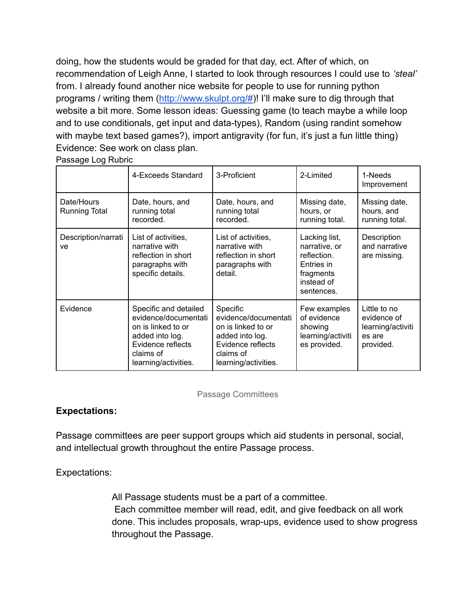doing, how the students would be graded for that day, ect. After of which, on recommendation of Leigh Anne, I started to look through resources I could use to *'steal'* from. I already found another nice website for people to use for running python programs / writing them (<http://www.skulpt.org/#>)! I'll make sure to dig through that website a bit more. Some lesson ideas: Guessing game (to teach maybe a while loop and to use conditionals, get input and data-types), Random (using randint somehow with maybe text based games?), import antigravity (for fun, it's just a fun little thing) Evidence: See work on class plan.

|  | Passage Log Rubric |  |  |
|--|--------------------|--|--|
|--|--------------------|--|--|

|                             | 4-Exceeds Standard                                                                                                                               | 3-Proficient                                                                                                                        | 2-Limited                                                                                            | 1-Needs<br>Improvement                                                  |
|-----------------------------|--------------------------------------------------------------------------------------------------------------------------------------------------|-------------------------------------------------------------------------------------------------------------------------------------|------------------------------------------------------------------------------------------------------|-------------------------------------------------------------------------|
| Date/Hours<br>Running Total | Date, hours, and<br>running total<br>recorded.                                                                                                   | Date, hours, and<br>running total<br>recorded.                                                                                      | Missing date,<br>hours, or<br>running total.                                                         | Missing date,<br>hours, and<br>running total.                           |
| Description/narrati<br>ve   | List of activities,<br>narrative with<br>reflection in short<br>paragraphs with<br>specific details.                                             | List of activities,<br>narrative with<br>reflection in short<br>paragraphs with<br>detail.                                          | Lacking list,<br>narrative, or<br>reflection.<br>Entries in<br>fragments<br>instead of<br>sentences. | Description<br>and narrative<br>are missing.                            |
| Evidence                    | Specific and detailed<br>evidence/documentati<br>on is linked to or<br>added into log.<br>Evidence reflects<br>claims of<br>learning/activities. | Specific<br>evidence/documentati<br>on is linked to or<br>added into log.<br>Evidence reflects<br>claims of<br>learning/activities. | Few examples<br>of evidence<br>showing<br>learning/activiti<br>es provided.                          | Little to no<br>evidence of<br>learning/activiti<br>es are<br>provided. |

### Passage Committees

### **Expectations:**

Passage committees are peer support groups which aid students in personal, social, and intellectual growth throughout the entire Passage process.

Expectations:

All Passage students must be a part of a committee. Each committee member will read, edit, and give feedback on all work done. This includes proposals, wrap-ups, evidence used to show progress throughout the Passage.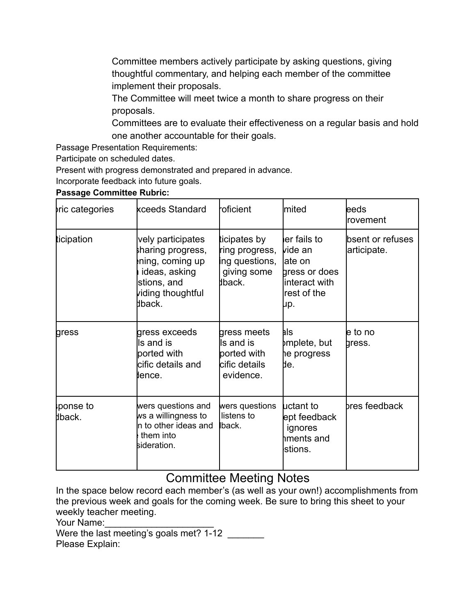Committee members actively participate by asking questions, giving thoughtful commentary, and helping each member of the committee implement their proposals.

The Committee will meet twice a month to share progress on their proposals.

Committees are to evaluate their effectiveness on a regular basis and hold one another accountable for their goals.

Passage Presentation Requirements:

Participate on scheduled dates.

Present with progress demonstrated and prepared in advance.

Incorporate feedback into future goals.

### **Passage Committee Rubric:**

| ric categories     | kceeds Standard                                                                                                         | roficient                                                                 | lmited                                                                                      | leeds<br><b>rovement</b>        |
|--------------------|-------------------------------------------------------------------------------------------------------------------------|---------------------------------------------------------------------------|---------------------------------------------------------------------------------------------|---------------------------------|
| ticipation         | vely participates<br>haring progress,<br>ning, coming up<br>ideas, asking<br>stions, and<br>viding thoughtful<br>bback. | ticipates by<br>ring progress,<br>ing questions,<br>giving some<br>lback. | er fails to<br>lvide an<br>late on<br>gress or does<br>linteract with<br>rest of the<br>μp. | bsent or refuses<br>articipate. |
| gress              | gress exceeds<br>Is and is<br>ported with<br>cific details and<br>llence.                                               | gress meets<br>Is and is<br>ported with<br>cific details<br>evidence.     | hls<br>þmplete, but<br>he progress<br>IJе.                                                  | le to no<br>gress.              |
| ponse to<br>dback. | wers questions and<br>ws a willingness to<br>n to other ideas and<br>them into<br>sideration.                           | wers questions<br>listens to<br>back.                                     | <b>luctant</b> to<br>ept feedback<br>ignores<br>hments and<br>stions.                       | bres feedback                   |

## Committee Meeting Notes

In the space below record each member's (as well as your own!) accomplishments from the previous week and goals for the coming week. Be sure to bring this sheet to your weekly teacher meeting.

Your Name:

Were the last meeting's goals met? 1-12 Please Explain: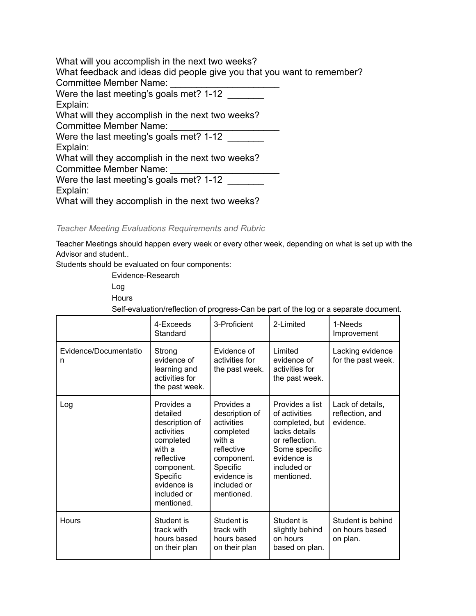What will you accomplish in the next two weeks? What feedback and ideas did people give you that you want to remember? Committee Member Name: Were the last meeting's goals met? 1-12 Explain: What will they accomplish in the next two weeks? Committee Member Name: Were the last meeting's goals met? 1-12 Explain: What will they accomplish in the next two weeks? Committee Member Name: Were the last meeting's goals met? 1-12 Explain: What will they accomplish in the next two weeks?

*Teacher Meeting Evaluations Requirements and Rubric*

Teacher Meetings should happen every week or every other week, depending on what is set up with the Advisor and student..

Students should be evaluated on four components:

Evidence-Research Log

**Hours** 

Self-evaluation/reflection of progress-Can be part of the log or a separate document.

|                            | 4-Exceeds<br>Standard                                                                                                                                             | 3-Proficient                                                                                                                                          | 2-Limited                                                                                                                                          | 1-Needs<br>Improvement                           |
|----------------------------|-------------------------------------------------------------------------------------------------------------------------------------------------------------------|-------------------------------------------------------------------------------------------------------------------------------------------------------|----------------------------------------------------------------------------------------------------------------------------------------------------|--------------------------------------------------|
| Evidence/Documentatio<br>n | Strong<br>evidence of<br>learning and<br>activities for<br>the past week.                                                                                         | Evidence of<br>activities for<br>the past week.                                                                                                       | Limited<br>evidence of<br>activities for<br>the past week.                                                                                         | Lacking evidence<br>for the past week.           |
| Log                        | Provides a<br>detailed<br>description of<br>activities<br>completed<br>with a<br>reflective<br>component.<br>Specific<br>evidence is<br>included or<br>mentioned. | Provides a<br>description of<br>activities<br>completed<br>with a<br>reflective<br>component.<br>Specific<br>evidence is<br>included or<br>mentioned. | Provides a list<br>of activities<br>completed, but<br>lacks details<br>or reflection.<br>Some specific<br>evidence is<br>included or<br>mentioned. | Lack of details,<br>reflection, and<br>evidence. |
| <b>Hours</b>               | Student is<br>track with<br>hours based<br>on their plan                                                                                                          | Student is<br>track with<br>hours based<br>on their plan                                                                                              | Student is<br>slightly behind<br>on hours<br>based on plan.                                                                                        | Student is behind<br>on hours based<br>on plan.  |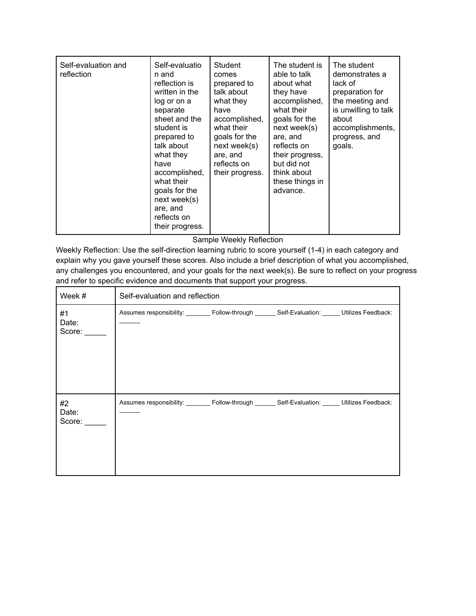| Self-evaluation and<br>reflection | Self-evaluatio<br>n and<br>reflection is<br>written in the<br>log or on a<br>separate<br>sheet and the<br>student is<br>prepared to<br>talk about<br>what they<br>have<br>accomplished,<br>what their<br>goals for the<br>next week(s)<br>are, and<br>reflects on | Student<br>comes<br>prepared to<br>talk about<br>what they<br>have<br>accomplished,<br>what their<br>goals for the<br>next week(s)<br>are, and<br>reflects on<br>their progress. | The student is<br>able to talk<br>about what<br>they have<br>accomplished,<br>what their<br>goals for the<br>next week(s)<br>are, and<br>reflects on<br>their progress,<br>but did not<br>think about<br>these things in<br>advance. | The student<br>demonstrates a<br>lack of<br>preparation for<br>the meeting and<br>is unwilling to talk<br>about<br>accomplishments,<br>progress, and<br>goals. |
|-----------------------------------|-------------------------------------------------------------------------------------------------------------------------------------------------------------------------------------------------------------------------------------------------------------------|----------------------------------------------------------------------------------------------------------------------------------------------------------------------------------|--------------------------------------------------------------------------------------------------------------------------------------------------------------------------------------------------------------------------------------|----------------------------------------------------------------------------------------------------------------------------------------------------------------|
|                                   | their progress.                                                                                                                                                                                                                                                   |                                                                                                                                                                                  |                                                                                                                                                                                                                                      |                                                                                                                                                                |

Sample Weekly Reflection

Weekly Reflection: Use the self-direction learning rubric to score yourself (1-4) in each category and explain why you gave yourself these scores. Also include a brief description of what you accomplished, any challenges you encountered, and your goals for the next week(s). Be sure to reflect on your progress and refer to specific evidence and documents that support your progress.

| Week #                | Self-evaluation and reflection                                                                     |  |  |  |  |
|-----------------------|----------------------------------------------------------------------------------------------------|--|--|--|--|
| #1<br>Date:<br>Score: | Assumes responsibility: ________ Follow-through _______ Self-Evaluation: ______ Utilizes Feedback: |  |  |  |  |
| #2<br>Date:<br>Score: | Assumes responsibility: ________ Follow-through _______ Self-Evaluation: _____ Utilizes Feedback:  |  |  |  |  |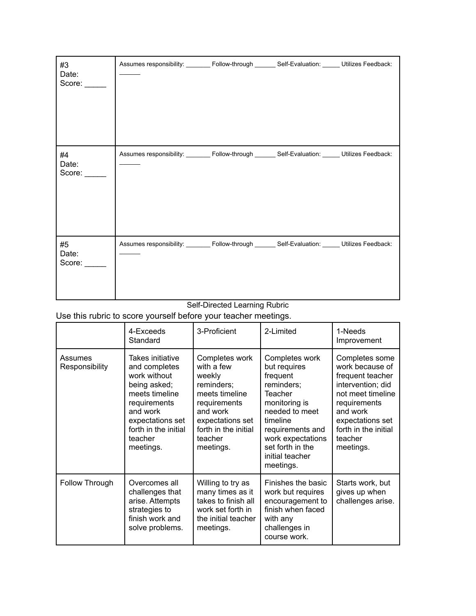| #3<br>Date:<br>Score: | Assumes responsibility: _______ Follow-through ______ Self-Evaluation: _____ Utilizes Feedback: |  |  |
|-----------------------|-------------------------------------------------------------------------------------------------|--|--|
| #4<br>Date:<br>Score: | Assumes responsibility: _______ Follow-through ______ Self-Evaluation: _____ Utilizes Feedback: |  |  |
| #5<br>Date:<br>Score: | Assumes responsibility: _______ Follow-through ______ Self-Evaluation: _____ Utilizes Feedback: |  |  |

#### Self-Directed Learning Rubric

Use this rubric to score yourself before your teacher meetings.

|                           | 4-Exceeds<br>Standard                                                                                                                                                               | 3-Proficient                                                                                                                                                           | 2-Limited                                                                                                                                                                                                              | 1-Needs<br>Improvement                                                                                                                                                                          |
|---------------------------|-------------------------------------------------------------------------------------------------------------------------------------------------------------------------------------|------------------------------------------------------------------------------------------------------------------------------------------------------------------------|------------------------------------------------------------------------------------------------------------------------------------------------------------------------------------------------------------------------|-------------------------------------------------------------------------------------------------------------------------------------------------------------------------------------------------|
| Assumes<br>Responsibility | Takes initiative<br>and completes<br>work without<br>being asked;<br>meets timeline<br>requirements<br>and work<br>expectations set<br>forth in the initial<br>teacher<br>meetings. | Completes work<br>with a few<br>weekly<br>reminders;<br>meets timeline<br>requirements<br>and work<br>expectations set<br>forth in the initial<br>teacher<br>meetings. | Completes work<br>but requires<br>frequent<br>reminders;<br><b>Teacher</b><br>monitoring is<br>needed to meet<br>timeline<br>requirements and<br>work expectations<br>set forth in the<br>initial teacher<br>meetings. | Completes some<br>work because of<br>frequent teacher<br>intervention; did<br>not meet timeline<br>requirements<br>and work<br>expectations set<br>forth in the initial<br>teacher<br>meetings. |
| Follow Through            | Overcomes all<br>challenges that<br>arise. Attempts<br>strategies to<br>finish work and<br>solve problems.                                                                          | Willing to try as<br>many times as it<br>takes to finish all<br>work set forth in<br>the initial teacher<br>meetings.                                                  | Finishes the basic<br>work but requires<br>encouragement to<br>finish when faced<br>with any<br>challenges in<br>course work.                                                                                          | Starts work, but<br>gives up when<br>challenges arise.                                                                                                                                          |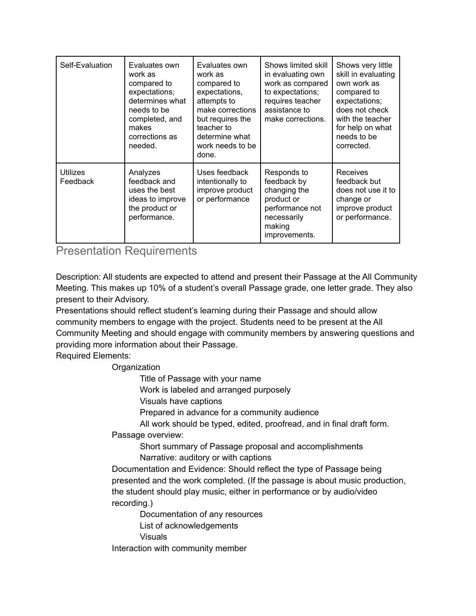| Self-Evaluation             | Evaluates own<br>work as<br>compared to<br>expectations;<br>determines what<br>needs to be<br>completed, and<br>makes<br>corrections as<br>needed. | Evaluates own<br>work as<br>compared to<br>expectations,<br>attempts to<br>make corrections<br>but requires the<br>teacher to<br>determine what<br>work needs to be<br>done. | Shows limited skill<br>in evaluating own<br>work as compared<br>to expectations;<br>requires teacher<br>assistance to<br>make corrections. | Shows very little<br>skill in evaluating<br>own work as<br>compared to<br>expectations;<br>does not check<br>with the teacher<br>for help on what<br>needs to be<br>corrected. |
|-----------------------------|----------------------------------------------------------------------------------------------------------------------------------------------------|------------------------------------------------------------------------------------------------------------------------------------------------------------------------------|--------------------------------------------------------------------------------------------------------------------------------------------|--------------------------------------------------------------------------------------------------------------------------------------------------------------------------------|
| <b>Utilizes</b><br>Feedback | Analyzes<br>feedback and<br>uses the best<br>ideas to improve<br>the product or<br>performance.                                                    | Uses feedback<br>intentionally to<br>improve product<br>or performance                                                                                                       | Responds to<br>feedback by<br>changing the<br>product or<br>performance not<br>necessarily<br>making<br>improvements.                      | <b>Receives</b><br>feedback but<br>does not use it to<br>change or<br>improve product<br>or performance.                                                                       |

## Presentation Requirements

Description: All students are expected to attend and present their Passage at the All Community Meeting. This makes up 10% of a student's overall Passage grade, one letter grade. They also present to their Advisory.

Presentations should reflect student's learning during their Passage and should allow community members to engage with the project. Students need to be present at the All Community Meeting and should engage with community members by answering questions and providing more information about their Passage.

Required Elements:

### **Organization**

Title of Passage with your name

Work is labeled and arranged purposely

Visuals have captions

Prepared in advance for a community audience

All work should be typed, edited, proofread, and in final draft form.

Passage overview:

Short summary of Passage proposal and accomplishments Narrative: auditory or with captions

Documentation and Evidence: Should reflect the type of Passage being presented and the work completed. (If the passage is about music production, the student should play music, either in performance or by audio/video recording.)

Documentation of any resources

List of acknowledgements

Visuals

Interaction with community member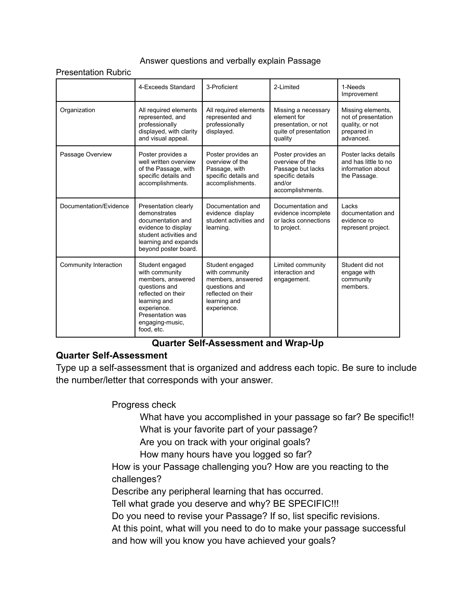### Answer questions and verbally explain Passage

Presentation Rubric

|                        | 4-Exceeds Standard                                                                                                                                                                | 3-Proficient                                                                                                                 | 2-I imited                                                                                                   | 1-Needs<br>Improvement                                                                  |
|------------------------|-----------------------------------------------------------------------------------------------------------------------------------------------------------------------------------|------------------------------------------------------------------------------------------------------------------------------|--------------------------------------------------------------------------------------------------------------|-----------------------------------------------------------------------------------------|
| Organization           | All required elements<br>represented, and<br>professionally<br>displayed, with clarity<br>and visual appeal.                                                                      | All required elements<br>represented and<br>professionally<br>displayed.                                                     | Missing a necessary<br>element for<br>presentation, or not<br>quite of presentation<br>quality               | Missing elements,<br>not of presentation<br>quality, or not<br>prepared in<br>advanced. |
| Passage Overview       | Poster provides a<br>well written overview<br>of the Passage, with<br>specific details and<br>accomplishments.                                                                    | Poster provides an<br>overview of the<br>Passage, with<br>specific details and<br>accomplishments.                           | Poster provides an<br>overview of the<br>Passage but lacks<br>specific details<br>and/or<br>accomplishments. | Poster lacks details<br>and has little to no<br>information about<br>the Passage.       |
| Documentation/Evidence | Presentation clearly<br>demonstrates<br>documentation and<br>evidence to display<br>student activities and<br>learning and expands<br>beyond poster board.                        | Documentation and<br>evidence display<br>student activities and<br>learning.                                                 | Documentation and<br>evidence incomplete<br>or lacks connections<br>to project.                              | Lacks<br>documentation and<br>evidence ro<br>represent project.                         |
| Community Interaction  | Student engaged<br>with community<br>members, answered<br>questions and<br>reflected on their<br>learning and<br>experience.<br>Presentation was<br>engaging-music,<br>food, etc. | Student engaged<br>with community<br>members, answered<br>questions and<br>reflected on their<br>learning and<br>experience. | Limited community<br>interaction and<br>engagement.                                                          | Student did not<br>engage with<br>community<br>members                                  |

### **Quarter Self-Assessment and Wrap-Up**

### **Quarter Self-Assessment**

Type up a self-assessment that is organized and address each topic. Be sure to include the number/letter that corresponds with your answer.

Progress check

What have you accomplished in your passage so far? Be specific!! What is your favorite part of your passage?

Are you on track with your original goals?

How many hours have you logged so far?

How is your Passage challenging you? How are you reacting to the challenges?

Describe any peripheral learning that has occurred.

Tell what grade you deserve and why? BE SPECIFIC!!!

Do you need to revise your Passage? If so, list specific revisions.

At this point, what will you need to do to make your passage successful and how will you know you have achieved your goals?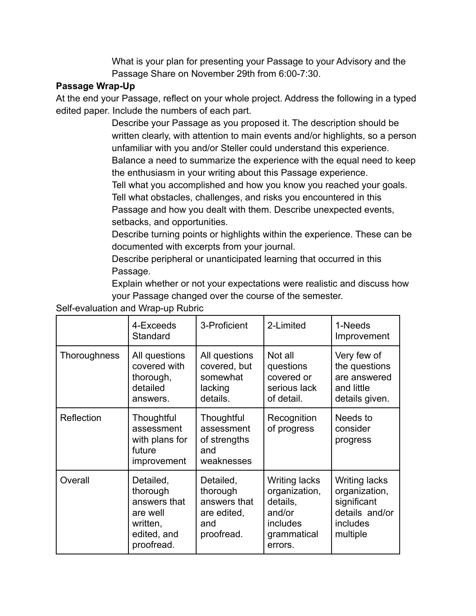What is your plan for presenting your Passage to your Advisory and the Passage Share on November 29th from 6:00-7:30.

## **Passage Wrap-Up**

At the end your Passage, reflect on your whole project. Address the following in a typed edited paper. Include the numbers of each part.

> Describe your Passage as you proposed it. The description should be written clearly, with attention to main events and/or highlights, so a person unfamiliar with you and/or Steller could understand this experience. Balance a need to summarize the experience with the equal need to keep

the enthusiasm in your writing about this Passage experience.

Tell what you accomplished and how you know you reached your goals.

Tell what obstacles, challenges, and risks you encountered in this Passage and how you dealt with them. Describe unexpected events, setbacks, and opportunities.

Describe turning points or highlights within the experience. These can be documented with excerpts from your journal.

Describe peripheral or unanticipated learning that occurred in this Passage.

Explain whether or not your expectations were realistic and discuss how your Passage changed over the course of the semester.

4-Exceeds **Standard** 3-Proficient 2-Limited 1-Needs Improvement Thoroughness  $|$  All questions covered with thorough, detailed answers. All questions covered, but somewhat lacking details. Not all questions covered or serious lack of detail. Very few of the questions are answered and little details given. Reflection | Thoughtful assessment with plans for future improvement **Thoughtful** assessment of strengths and weaknesses Recognition of progress Needs to consider progress Overall Detailed, thorough answers that are well written, edited, and proofread. Detailed, thorough answers that are edited, and proofread. Writing lacks organization, details, and/or includes grammatical errors. Writing lacks organization, significant details and/or includes multiple

Self-evaluation and Wrap-up Rubric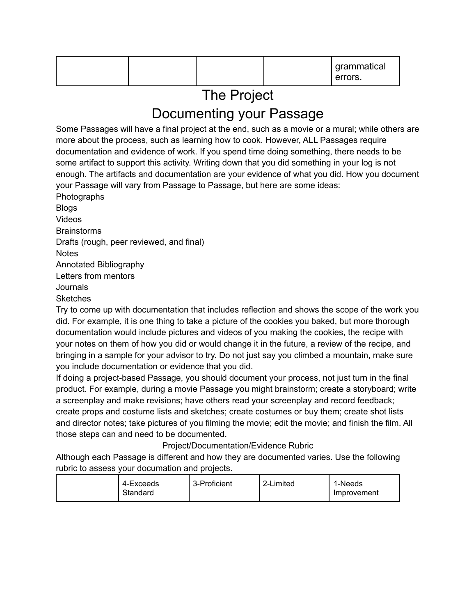|  |  |  | I grammatical<br>errors. |
|--|--|--|--------------------------|
|--|--|--|--------------------------|

# The Project

# Documenting your Passage

Some Passages will have a final project at the end, such as a movie or a mural; while others are more about the process, such as learning how to cook. However, ALL Passages require documentation and evidence of work. If you spend time doing something, there needs to be some artifact to support this activity. Writing down that you did something in your log is not enough. The artifacts and documentation are your evidence of what you did. How you document your Passage will vary from Passage to Passage, but here are some ideas:

Photographs Blogs Videos **Brainstorms** Drafts (rough, peer reviewed, and final) **Notes** Annotated Bibliography Letters from mentors **Journals** 

**Sketches** 

Try to come up with documentation that includes reflection and shows the scope of the work you did. For example, it is one thing to take a picture of the cookies you baked, but more thorough documentation would include pictures and videos of you making the cookies, the recipe with your notes on them of how you did or would change it in the future, a review of the recipe, and bringing in a sample for your advisor to try. Do not just say you climbed a mountain, make sure you include documentation or evidence that you did.

If doing a project-based Passage, you should document your process, not just turn in the final product. For example, during a movie Passage you might brainstorm; create a storyboard; write a screenplay and make revisions; have others read your screenplay and record feedback; create props and costume lists and sketches; create costumes or buy them; create shot lists and director notes; take pictures of you filming the movie; edit the movie; and finish the film. All those steps can and need to be documented.

### Project/Documentation/Evidence Rubric

Although each Passage is different and how they are documented varies. Use the following rubric to assess your documation and projects.

| 4-Exceeds<br>Standard | 3-Proficient | 2-Limited | 1-Needs<br>Improvement |
|-----------------------|--------------|-----------|------------------------|
|-----------------------|--------------|-----------|------------------------|